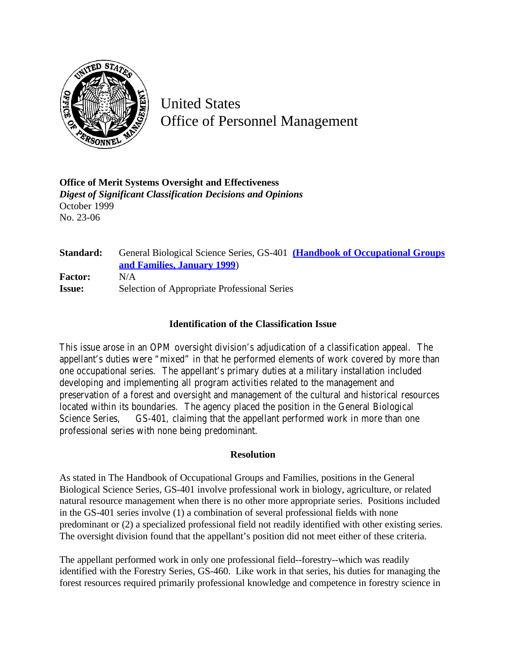

United States Office of Personnel Management

**Office of Merit Systems Oversight and Effectiveness** *Digest of Significant Classification Decisions and Opinions* October 1999 No. 23-06

| Standard:      | General Biological Science Series, GS-401 (Handbook of Occupational Groups |
|----------------|----------------------------------------------------------------------------|
|                | and Families, January 1999)                                                |
| <b>Factor:</b> | N/A                                                                        |
| <b>Issue:</b>  | Selection of Appropriate Professional Series                               |

## **Identification of the Classification Issue**

This issue arose in an OPM oversight division's adjudication of a classification appeal. The appellant's duties were "mixed" in that he performed elements of work covered by more than one occupational series. The appellant's primary duties at a military installation included developing and implementing all program activities related to the management and preservation of a forest and oversight and management of the cultural and historical resources located within its boundaries. The agency placed the position in the General Biological Science Series, GS-401, claiming that the appellant performed work in more than one professional series with none being predominant.

## **Resolution**

As stated in The Handbook of Occupational Groups and Families, positions in the General Biological Science Series, GS-401 involve professional work in biology, agriculture, or related natural resource management when there is no other more appropriate series. Positions included in the GS-401 series involve (1) a combination of several professional fields with none predominant or (2) a specialized professional field not readily identified with other existing series. The oversight division found that the appellant's position did not meet either of these criteria.

The appellant performed work in only one professional field--forestry--which was readily identified with the Forestry Series, GS-460. Like work in that series, his duties for managing the forest resources required primarily professional knowledge and competence in forestry science in